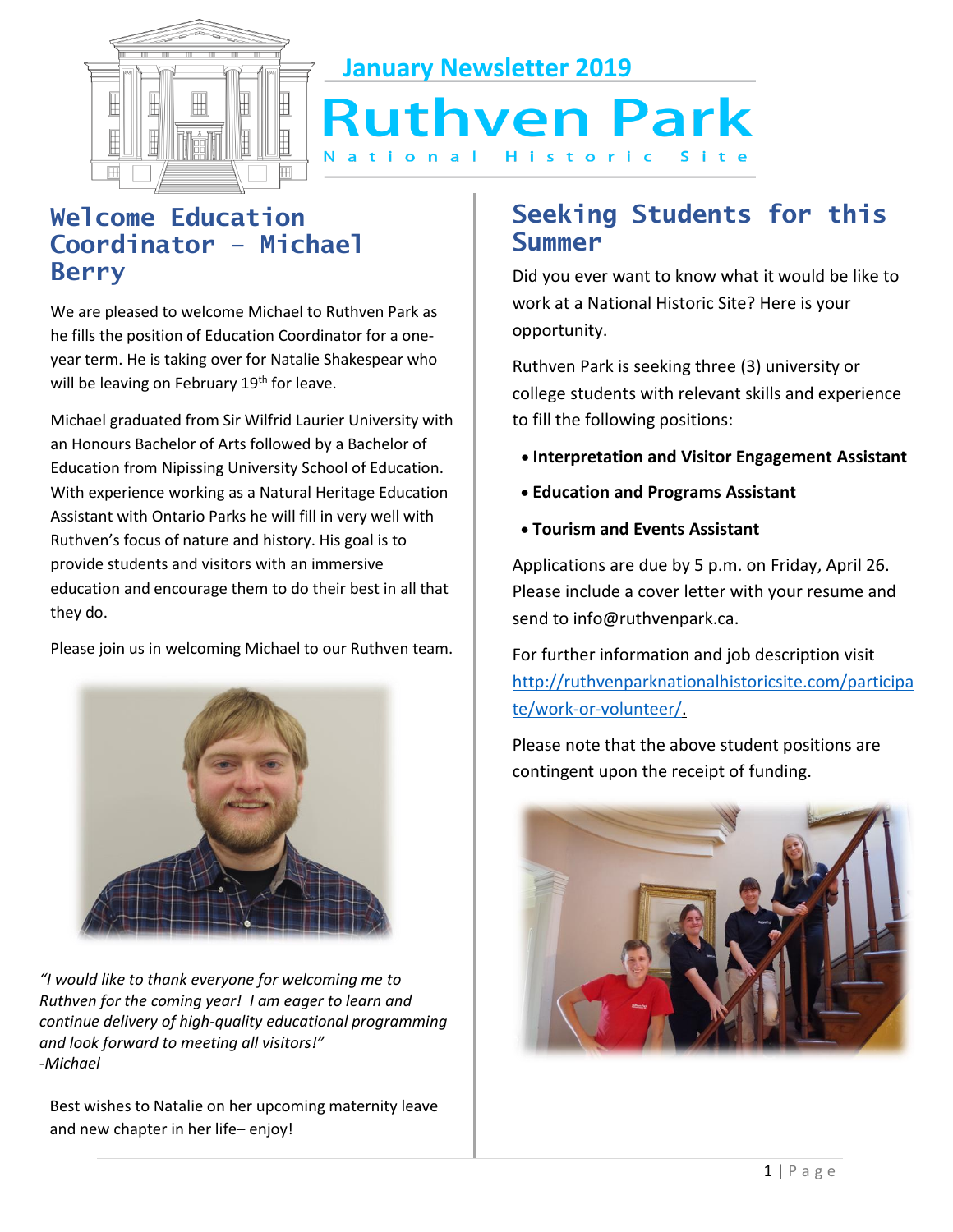

**January Newsletter 2019**

# **Ruthven Park** tional Historic

## **Welcome Education Coordinator – Michael Berry**

We are pleased to welcome Michael to Ruthven Park as he fills the position of Education Coordinator for a oneyear term. He is taking over for Natalie Shakespear who will be leaving on February 19<sup>th</sup> for leave.

Michael graduated from Sir Wilfrid Laurier University with an Honours Bachelor of Arts followed by a Bachelor of Education from Nipissing University School of Education. With experience working as a Natural Heritage Education Assistant with Ontario Parks he will fill in very well with Ruthven's focus of nature and history. His goal is to provide students and visitors with an immersive education and encourage them to do their best in all that they do.

Please join us in welcoming Michael to our Ruthven team.



*"I would like to thank everyone for welcoming me to Ruthven for the coming year! I am eager to learn and continue delivery of high-quality educational programming and look forward to meeting all visitors!" -Michael* 

and new chapter in her life– enjoy! Best wishes to Natalie on her upcoming maternity leave

## **Seeking Students for this Summer**

Did you ever want to know what it would be like to work at a National Historic Site? Here is your opportunity.

Ruthven Park is seeking three (3) university or college students with relevant skills and experience to fill the following positions:

- **Interpretation and Visitor Engagement Assistant**
- **Education and Programs Assistant**
- **Tourism and Events Assistant**

Applications are due by 5 p.m. on Friday, April 26. Please include a cover letter with your resume and send to info@ruthvenpark.ca.

For further information and job description visit [http://ruthvenparknationalhistoricsite.com/participa](http://ruthvenparknationalhistoricsite.com/participate/work-or-volunteer/) [te/work-or-volunteer/.](http://ruthvenparknationalhistoricsite.com/participate/work-or-volunteer/)

 Please note that the above student positions are contingent upon the receipt of funding.

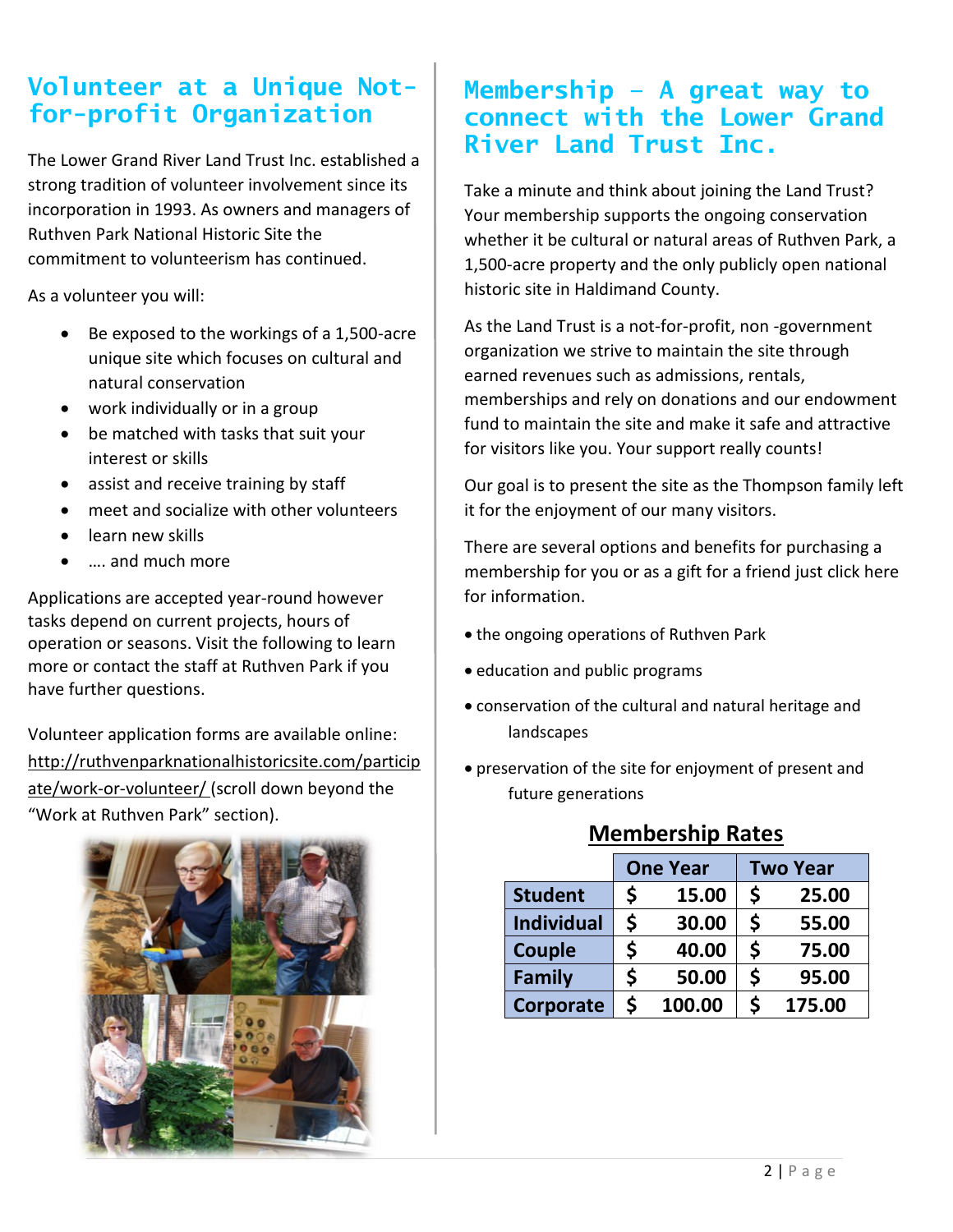## **for-profit Organization Volunteer at a Unique Not-**

The Lower Grand River Land Trust Inc. established a strong tradition of volunteer involvement since its incorporation in 1993. As owners and managers of Ruthven Park National Historic Site the commitment to volunteerism has continued.

As a volunteer you will:

- Be exposed to the workings of a 1,500-acre unique site which focuses on cultural and natural conservation
- work individually or in a group
- be matched with tasks that suit your interest or skills
- assist and receive training by staff
- meet and socialize with other volunteers
- learn new skills
- …. and much more

Applications are accepted year-round however tasks depend on current projects, hours of operation or seasons. Visit the following to learn more or contact the staff at Ruthven Park if you have further questions.

Volunteer application forms are available online: http://ruthvenparknationalhistoricsite.com/particip ate/work-or-volunteer/ (scroll down beyond the "Work at Ruthven Park" section).



### **Membership – A great way to connect with the Lower Grand River Land Trust Inc.**

Take a minute and think about joining the Land Trust? Your membership supports the ongoing conservation whether it be cultural or natural areas of Ruthven Park, a 1,500-acre property and the only publicly open national historic site in Haldimand County.

As the Land Trust is a not-for-profit, non -government organization we strive to maintain the site through earned revenues such as admissions, rentals, memberships and rely on donations and our endowment fund to maintain the site and make it safe and attractive for visitors like you. Your support really counts!

Our goal is to present the site as the Thompson family left it for the enjoyment of our many visitors.

There are several options and benefits for purchasing a membership for you or as a gift for a friend just click here for information.

- the ongoing operations of Ruthven Park
- education and public programs
- conservation of the cultural and natural heritage and landscapes
- preservation of the site for enjoyment of present and future generations

### **Membership Rates**

|                   | <b>One Year</b> |        | <b>Two Year</b> |        |
|-------------------|-----------------|--------|-----------------|--------|
| <b>Student</b>    | \$              | 15.00  | \$              | 25.00  |
| <b>Individual</b> | \$              | 30.00  | S               | 55.00  |
| Couple            | \$              | 40.00  | \$              | 75.00  |
| Family            | \$              | 50.00  | S               | 95.00  |
| <b>Corporate</b>  | \$              | 100.00 |                 | 175.00 |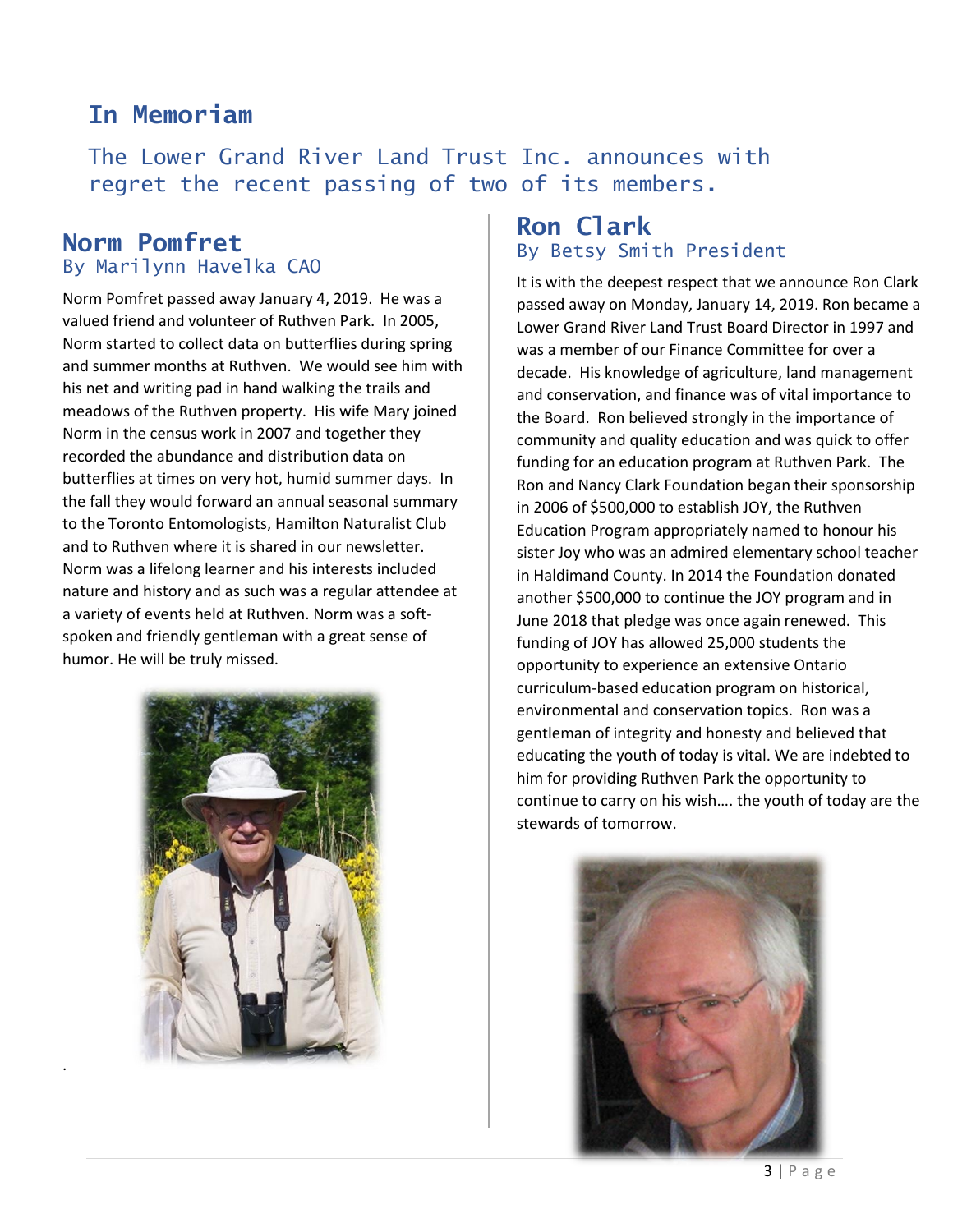## **In Memoriam**

The Lower Grand River Land Trust Inc. announces with regret the recent passing of two of its members**.**

### **Norm Pomfret**  By Marilynn Havelka CAO

Norm Pomfret passed away January 4, 2019. He was a valued friend and volunteer of Ruthven Park. In 2005, Norm started to collect data on butterflies during spring and summer months at Ruthven. We would see him with his net and writing pad in hand walking the trails and meadows of the Ruthven property. His wife Mary joined Norm in the census work in 2007 and together they recorded the abundance and distribution data on butterflies at times on very hot, humid summer days. In the fall they would forward an annual seasonal summary to the Toronto Entomologists, Hamilton Naturalist Club and to Ruthven where it is shared in our newsletter. Norm was a lifelong learner and his interests included nature and history and as such was a regular attendee at a variety of events held at Ruthven. Norm was a softspoken and friendly gentleman with a great sense of humor. He will be truly missed.



.

### **Ron Clark**  By Betsy Smith President

It is with the deepest respect that we announce Ron Clark passed away on Monday, January 14, 2019. Ron became a Lower Grand River Land Trust Board Director in 1997 and was a member of our Finance Committee for over a decade. His knowledge of agriculture, land management and conservation, and finance was of vital importance to the Board. Ron believed strongly in the importance of community and quality education and was quick to offer funding for an education program at Ruthven Park. The Ron and Nancy Clark Foundation began their sponsorship in 2006 of \$500,000 to establish JOY, the Ruthven Education Program appropriately named to honour his sister Joy who was an admired elementary school teacher in Haldimand County. In 2014 the Foundation donated another \$500,000 to continue the JOY program and in June 2018 that pledge was once again renewed. This funding of JOY has allowed 25,000 students the opportunity to experience an extensive Ontario curriculum-based education program on historical, environmental and conservation topics. Ron was a gentleman of integrity and honesty and believed that educating the youth of today is vital. We are indebted to him for providing Ruthven Park the opportunity to continue to carry on his wish…. the youth of today are the stewards of tomorrow.

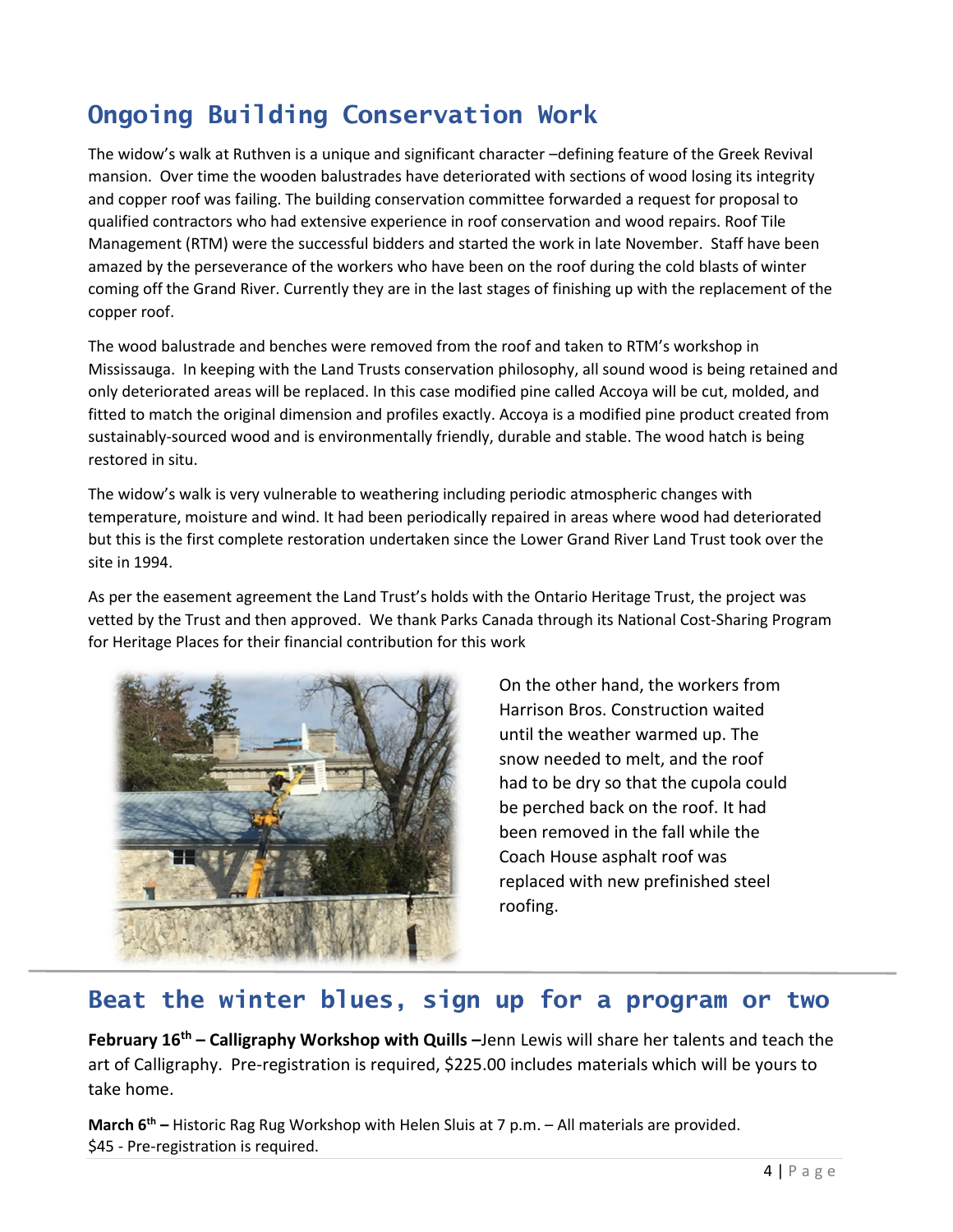## **Ongoing Building Conservation Work**

The widow's walk at Ruthven is a unique and significant character –defining feature of the Greek Revival mansion. Over time the wooden balustrades have deteriorated with sections of wood losing its integrity and copper roof was failing. The building conservation committee forwarded a request for proposal to qualified contractors who had extensive experience in roof conservation and wood repairs. Roof Tile Management (RTM) were the successful bidders and started the work in late November. Staff have been amazed by the perseverance of the workers who have been on the roof during the cold blasts of winter coming off the Grand River. Currently they are in the last stages of finishing up with the replacement of the copper roof.

The wood balustrade and benches were removed from the roof and taken to RTM's workshop in Mississauga. In keeping with the Land Trusts conservation philosophy, all sound wood is being retained and only deteriorated areas will be replaced. In this case modified pine called Accoya will be cut, molded, and fitted to match the original dimension and profiles exactly. Accoya is a modified pine product created from sustainably-sourced wood and is environmentally friendly, durable and stable. The wood hatch is being restored in situ.

The widow's walk is very vulnerable to weathering including periodic atmospheric changes with temperature, moisture and wind. It had been periodically repaired in areas where wood had deteriorated but this is the first complete restoration undertaken since the Lower Grand River Land Trust took over the site in 1994.

As per the easement agreement the Land Trust's holds with the Ontario Heritage Trust, the project was vetted by the Trust and then approved. We thank Parks Canada through its National Cost-Sharing Program for Heritage Places for their financial contribution for this work



l

On the other hand, the workers from Harrison Bros. Construction waited until the weather warmed up. The snow needed to melt, and the roof had to be dry so that the cupola could be perched back on the roof. It had been removed in the fall while the Coach House asphalt roof was replaced with new prefinished steel roofing.

### **Beat the winter blues, sign up for a program or two**

**February 16th – Calligraphy Workshop with Quills –**Jenn Lewis will share her talents and teach the art of Calligraphy. Pre-registration is required, \$225.00 includes materials which will be yours to take home.

**March 6th –** Historic Rag Rug Workshop with Helen Sluis at 7 p.m. – All materials are provided. \$45 - Pre-registration is required.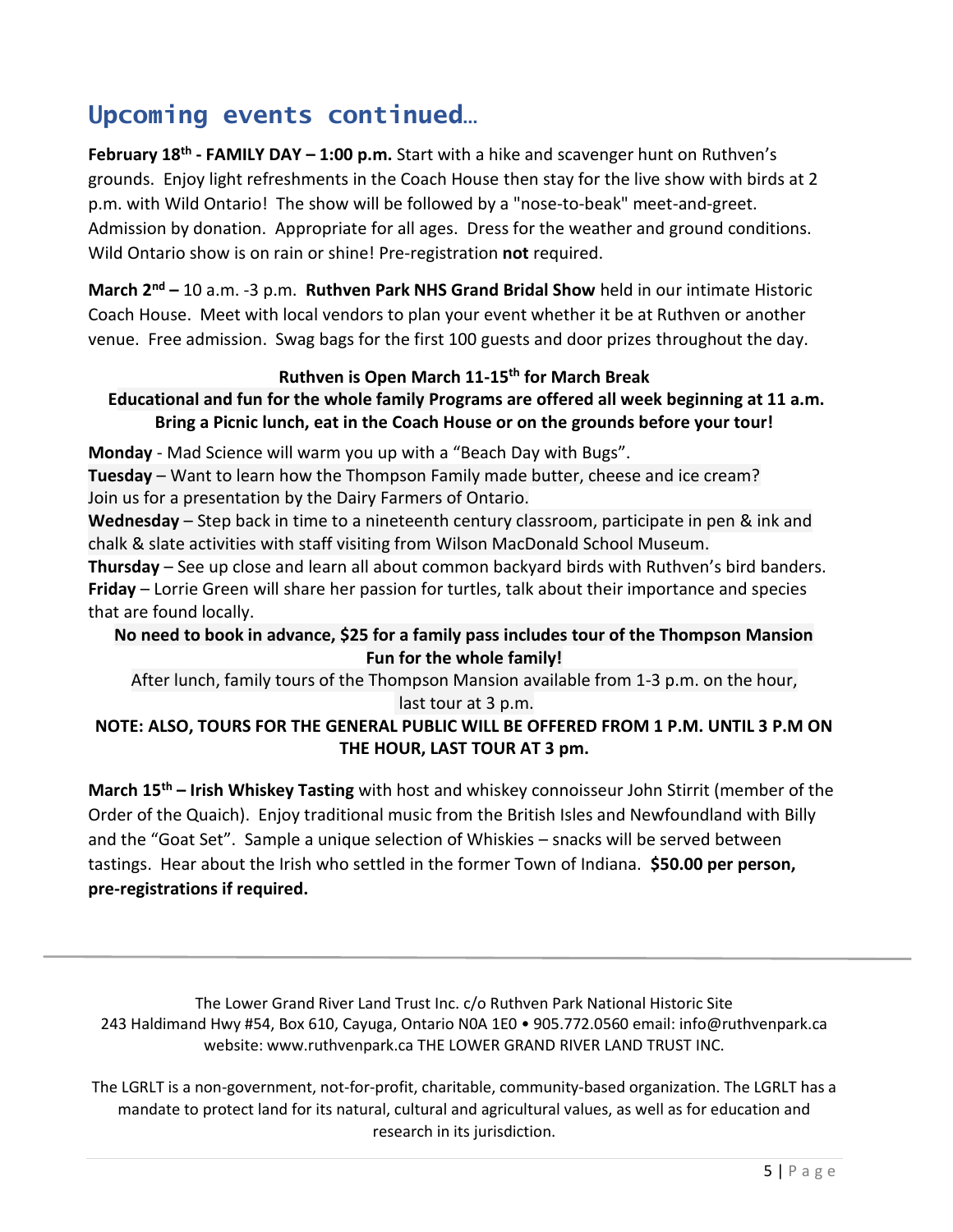## **Upcoming events continued…**

**February 18th - FAMILY DAY – 1:00 p.m.** Start with a hike and scavenger hunt on Ruthven's grounds. Enjoy light refreshments in the Coach House then stay for the live show with birds at 2 p.m. with Wild Ontario! The show will be followed by a "nose-to-beak" meet-and-greet. Admission by donation. Appropriate for all ages. Dress for the weather and ground conditions. Wild Ontario show is on rain or shine! Pre-registration **not** required.

**March 2nd –** 10 a.m. -3 p.m. **Ruthven Park NHS Grand Bridal Show** held in our intimate Historic Coach House. Meet with local vendors to plan your event whether it be at Ruthven or another venue. Free admission. Swag bags for the first 100 guests and door prizes throughout the day.

#### **Ruthven is Open March 11-15th for March Break**

### **Educational and fun for the whole family Programs are offered all week beginning at 11 a.m. Bring a Picnic lunch, eat in the Coach House or on the grounds before your tour!**

**Monday** - Mad Science will warm you up with a "Beach Day with Bugs".

**Tuesday** – Want to learn how the Thompson Family made butter, cheese and ice cream? Join us for a presentation by the Dairy Farmers of Ontario.

**Wednesday** – Step back in time to a nineteenth century classroom, participate in pen & ink and chalk & slate activities with staff visiting from Wilson MacDonald School Museum.

**Thursday** – See up close and learn all about common backyard birds with Ruthven's bird banders. **Friday** – Lorrie Green will share her passion for turtles, talk about their importance and species that are found locally.

### **No need to book in advance, \$25 for a family pass includes tour of the Thompson Mansion Fun for the whole family!**

After lunch, family tours of the Thompson Mansion available from 1-3 p.m. on the hour, last tour at 3 p.m.

#### **NOTE: ALSO, TOURS FOR THE GENERAL PUBLIC WILL BE OFFERED FROM 1 P.M. UNTIL 3 P.M ON THE HOUR, LAST TOUR AT 3 pm.**

**March 15th – Irish Whiskey Tasting** with host and whiskey connoisseur John Stirrit (member of the Order of the Quaich). Enjoy traditional music from the British Isles and Newfoundland with Billy and the "Goat Set". Sample a unique selection of Whiskies – snacks will be served between tastings. Hear about the Irish who settled in the former Town of Indiana. **\$50.00 per person, pre-registrations if required.** 

The Lower Grand River Land Trust Inc. c/o Ruthven Park National Historic Site 243 Haldimand Hwy #54, Box 610, Cayuga, Ontario N0A 1E0 • 905.772.0560 email: info@ruthvenpark.ca website: www.ruthvenpark.ca THE LOWER GRAND RIVER LAND TRUST INC.

The LGRLT is a non-government, not-for-profit, charitable, community-based organization. The LGRLT has a mandate to protect land for its natural, cultural and agricultural values, as well as for education and research in its jurisdiction.